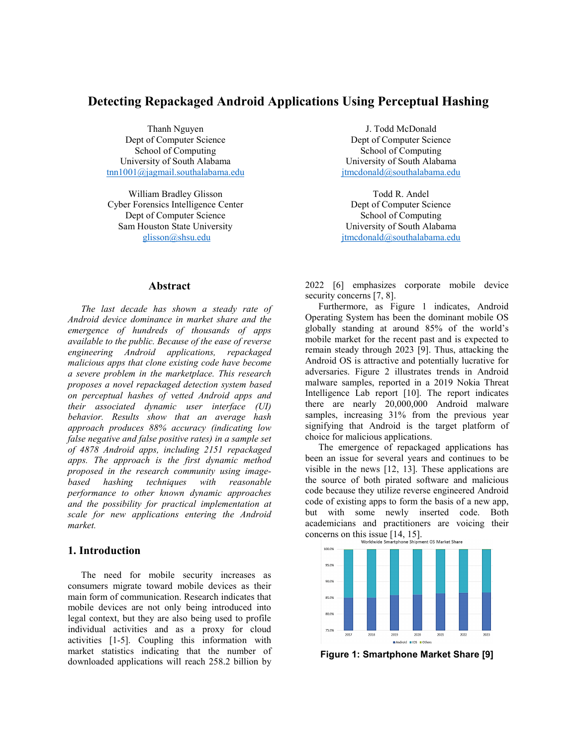# **Detecting Repackaged Android Applications Using Perceptual Hashing**

Thanh Nguyen Dept of Computer Science School of Computing University of South Alabama [tnn1001@jagmail.southalabama.edu](mailto:tnn1001@jagmail.southalabama.edu)

William Bradley Glisson Cyber Forensics Intelligence Center Dept of Computer Science Sam Houston State University [glisson@shsu.edu](mailto:glisson@shsu.edu)

J. Todd McDonald Dept of Computer Science School of Computing University of South Alabama [jtmcdonald@southalabama.edu](mailto:jtmcdonald@southalabama.edu)

Todd R. Andel Dept of Computer Science School of Computing University of South Alabama [jtmcdonald@southalabama.edu](mailto:jtmcdonald@southalabama.edu)

## **Abstract**

*The last decade has shown a steady rate of Android device dominance in market share and the emergence of hundreds of thousands of apps available to the public. Because of the ease of reverse engineering Android applications, repackaged malicious apps that clone existing code have become a severe problem in the marketplace. This research proposes a novel repackaged detection system based on perceptual hashes of vetted Android apps and their associated dynamic user interface (UI) behavior. Results show that an average hash approach produces 88% accuracy (indicating low false negative and false positive rates) in a sample set of 4878 Android apps, including 2151 repackaged apps. The approach is the first dynamic method proposed in the research community using imagebased hashing techniques with reasonable performance to other known dynamic approaches and the possibility for practical implementation at scale for new applications entering the Android market.*

# **1. Introduction**

The need for mobile security increases as consumers migrate toward mobile devices as their main form of communication. Research indicates that mobile devices are not only being introduced into legal context, but they are also being used to profile individual activities and as a proxy for cloud activities [1-5]. Coupling this information with market statistics indicating that the number of downloaded applications will reach 258.2 billion by 2022 [6] emphasizes corporate mobile device security concerns [7, 8].

Furthermore, as Figure 1 indicates, Android Operating System has been the dominant mobile OS globally standing at around 85% of the world's mobile market for the recent past and is expected to remain steady through 2023 [9]. Thus, attacking the Android OS is attractive and potentially lucrative for adversaries. Figure 2 illustrates trends in Android malware samples, reported in a 2019 Nokia Threat Intelligence Lab report [10]. The report indicates there are nearly 20,000,000 Android malware samples, increasing  $31\%$  from the previous year signifying that Android is the target platform of choice for malicious applications.

The emergence of repackaged applications has been an issue for several years and continues to be visible in the news [12, 13]. These applications are the source of both pirated software and malicious code because they utilize reverse engineered Android code of existing apps to form the basis of a new app, but with some newly inserted code. Both academicians and practitioners are voicing their concerns on this issue  $[14, 15]$ .



**Figure 1: Smartphone Market Share [9]**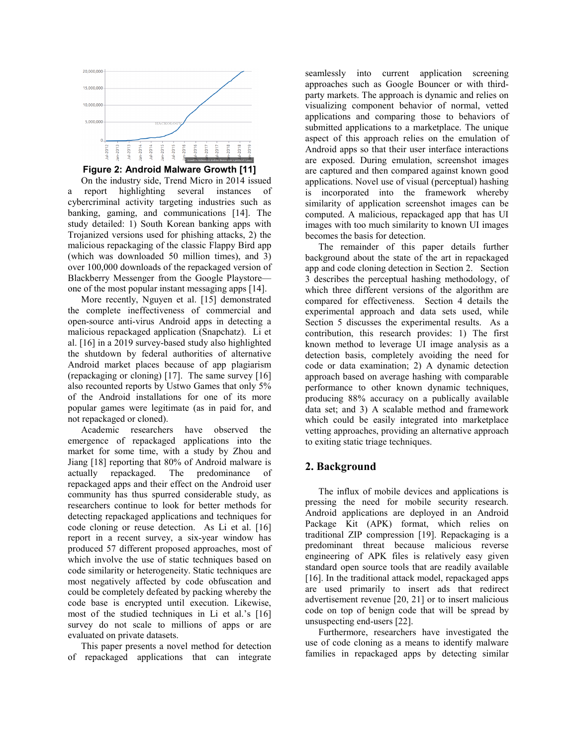

### **Figure 2: Android Malware Growth [11]**

On the industry side, Trend Micro in 2014 issued a report highlighting several instances of cybercriminal activity targeting industries such as banking, gaming, and communications [14]. The study detailed: 1) South Korean banking apps with Trojanized versions used for phishing attacks, 2) the malicious repackaging of the classic Flappy Bird app (which was downloaded 50 million times), and 3) over 100,000 downloads of the repackaged version of Blackberry Messenger from the Google Playstore one of the most popular instant messaging apps [14].

More recently, Nguyen et al. [15] demonstrated the complete ineffectiveness of commercial and open-source anti-virus Android apps in detecting a malicious repackaged application (Snapchatz). Li et al. [16] in a 2019 survey-based study also highlighted the shutdown by federal authorities of alternative Android market places because of app plagiarism (repackaging or cloning) [17]. The same survey [16] also recounted reports by Ustwo Games that only 5% of the Android installations for one of its more popular games were legitimate (as in paid for, and not repackaged or cloned).

Academic researchers have observed the emergence of repackaged applications into the market for some time, with a study by Zhou and Jiang [18] reporting that 80% of Android malware is actually repackaged. The predominance of repackaged apps and their effect on the Android user community has thus spurred considerable study, as researchers continue to look for better methods for detecting repackaged applications and techniques for code cloning or reuse detection. As Li et al. [16] report in a recent survey, a six-year window has produced 57 different proposed approaches, most of which involve the use of static techniques based on code similarity or heterogeneity. Static techniques are most negatively affected by code obfuscation and could be completely defeated by packing whereby the code base is encrypted until execution. Likewise, most of the studied techniques in Li et al.'s [16] survey do not scale to millions of apps or are evaluated on private datasets.

This paper presents a novel method for detection of repackaged applications that can integrate

seamlessly into current application screening approaches such as Google Bouncer or with thirdparty markets. The approach is dynamic and relies on visualizing component behavior of normal, vetted applications and comparing those to behaviors of submitted applications to a marketplace. The unique aspect of this approach relies on the emulation of Android apps so that their user interface interactions are exposed. During emulation, screenshot images are captured and then compared against known good applications. Novel use of visual (perceptual) hashing is incorporated into the framework whereby similarity of application screenshot images can be computed. A malicious, repackaged app that has UI images with too much similarity to known UI images becomes the basis for detection.

The remainder of this paper details further background about the state of the art in repackaged app and code cloning detection in Section 2. Section 3 describes the perceptual hashing methodology, of which three different versions of the algorithm are compared for effectiveness. Section 4 details the experimental approach and data sets used, while Section 5 discusses the experimental results. As a contribution, this research provides: 1) The first known method to leverage UI image analysis as a detection basis, completely avoiding the need for code or data examination; 2) A dynamic detection approach based on average hashing with comparable performance to other known dynamic techniques, producing 88% accuracy on a publically available data set; and 3) A scalable method and framework which could be easily integrated into marketplace vetting approaches, providing an alternative approach to exiting static triage techniques.

# **2. Background**

The influx of mobile devices and applications is pressing the need for mobile security research. Android applications are deployed in an Android Package Kit (APK) format, which relies on traditional ZIP compression [19]. Repackaging is a predominant threat because malicious reverse engineering of APK files is relatively easy given standard open source tools that are readily available [16]. In the traditional attack model, repackaged apps are used primarily to insert ads that redirect advertisement revenue [20, 21] or to insert malicious code on top of benign code that will be spread by unsuspecting end-users [22].

Furthermore, researchers have investigated the use of code cloning as a means to identify malware families in repackaged apps by detecting similar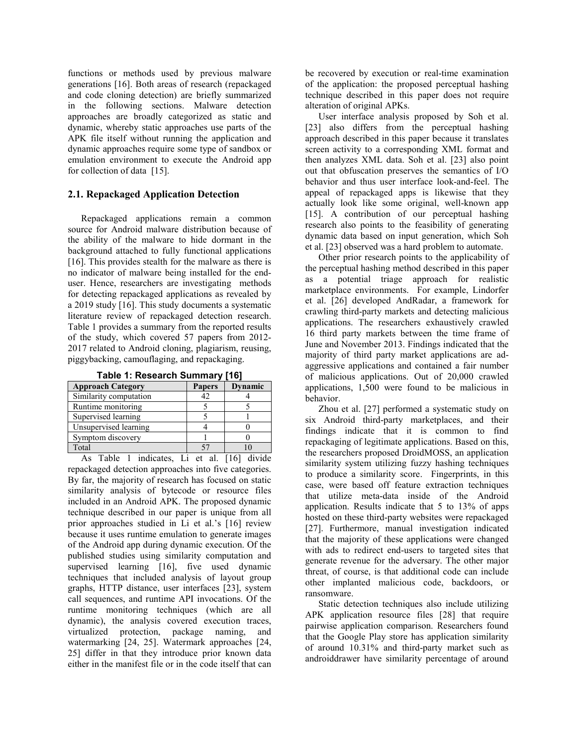functions or methods used by previous malware generations [16]. Both areas of research (repackaged and code cloning detection) are briefly summarized in the following sections. Malware detection approaches are broadly categorized as static and dynamic, whereby static approaches use parts of the APK file itself without running the application and dynamic approaches require some type of sandbox or emulation environment to execute the Android app for collection of data [15].

# **2.1. Repackaged Application Detection**

Repackaged applications remain a common source for Android malware distribution because of the ability of the malware to hide dormant in the background attached to fully functional applications [16]. This provides stealth for the malware as there is no indicator of malware being installed for the enduser. Hence, researchers are investigating methods for detecting repackaged applications as revealed by a 2019 study [16]. This study documents a systematic literature review of repackaged detection research. Table 1 provides a summary from the reported results of the study, which covered 57 papers from 2012- 2017 related to Android cloning, plagiarism, reusing, piggybacking, camouflaging, and repackaging.

| <u>wwie in indeed with editional</u> |               |         |
|--------------------------------------|---------------|---------|
| <b>Approach Category</b>             | <b>Papers</b> | Dynamic |
| Similarity computation               | 12            |         |
| Runtime monitoring                   |               |         |
| Supervised learning                  |               |         |
| Unsupervised learning                |               |         |
| Symptom discovery                    |               |         |
| Total                                |               |         |

**Table 1: Research Summary [16]**

As Table 1 indicates, Li et al. [16] divide repackaged detection approaches into five categories. By far, the majority of research has focused on static similarity analysis of bytecode or resource files included in an Android APK. The proposed dynamic technique described in our paper is unique from all prior approaches studied in Li et al.'s [16] review because it uses runtime emulation to generate images of the Android app during dynamic execution. Of the published studies using similarity computation and supervised learning [16], five used dynamic techniques that included analysis of layout group graphs, HTTP distance, user interfaces [23], system call sequences, and runtime API invocations. Of the runtime monitoring techniques (which are all dynamic), the analysis covered execution traces, virtualized protection, package naming, and watermarking [24, 25]. Watermark approaches [24, 25] differ in that they introduce prior known data either in the manifest file or in the code itself that can be recovered by execution or real-time examination of the application: the proposed perceptual hashing technique described in this paper does not require alteration of original APKs.

User interface analysis proposed by Soh et al. [23] also differs from the perceptual hashing approach described in this paper because it translates screen activity to a corresponding XML format and then analyzes XML data. Soh et al. [23] also point out that obfuscation preserves the semantics of I/O behavior and thus user interface look-and-feel. The appeal of repackaged apps is likewise that they actually look like some original, well-known app [15]. A contribution of our perceptual hashing research also points to the feasibility of generating dynamic data based on input generation, which Soh et al. [23] observed was a hard problem to automate.

Other prior research points to the applicability of the perceptual hashing method described in this paper as a potential triage approach for realistic marketplace environments. For example, Lindorfer et al. [26] developed AndRadar, a framework for crawling third-party markets and detecting malicious applications. The researchers exhaustively crawled 16 third party markets between the time frame of June and November 2013. Findings indicated that the majority of third party market applications are adaggressive applications and contained a fair number of malicious applications. Out of 20,000 crawled applications, 1,500 were found to be malicious in behavior.

Zhou et al. [27] performed a systematic study on six Android third-party marketplaces, and their findings indicate that it is common to find repackaging of legitimate applications. Based on this, the researchers proposed DroidMOSS, an application similarity system utilizing fuzzy hashing techniques to produce a similarity score. Fingerprints, in this case, were based off feature extraction techniques that utilize meta-data inside of the Android application. Results indicate that 5 to 13% of apps hosted on these third-party websites were repackaged [27]. Furthermore, manual investigation indicated that the majority of these applications were changed with ads to redirect end-users to targeted sites that generate revenue for the adversary. The other major threat, of course, is that additional code can include other implanted malicious code, backdoors, or ransomware.

Static detection techniques also include utilizing APK application resource files [28] that require pairwise application comparison. Researchers found that the Google Play store has application similarity of around 10.31% and third-party market such as androiddrawer have similarity percentage of around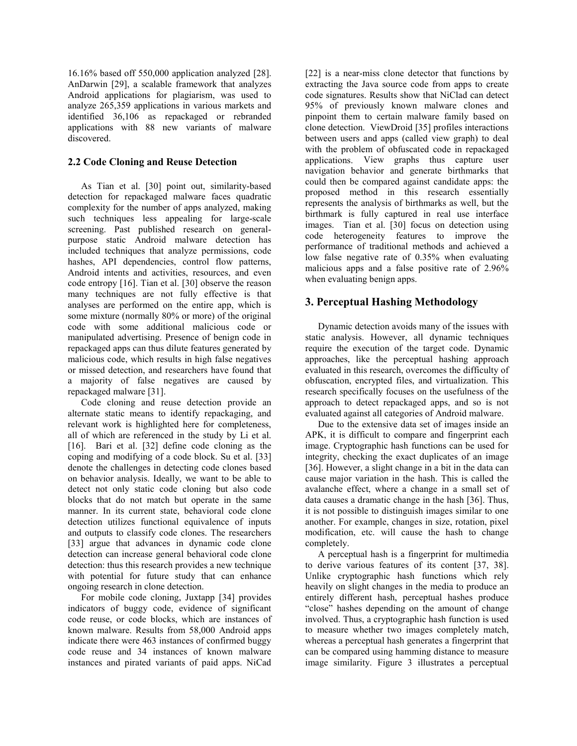16.16% based off 550,000 application analyzed [28]. AnDarwin [29], a scalable framework that analyzes Android applications for plagiarism, was used to analyze 265,359 applications in various markets and identified 36,106 as repackaged or rebranded applications with 88 new variants of malware discovered.

## **2.2 Code Cloning and Reuse Detection**

As Tian et al. [30] point out, similarity-based detection for repackaged malware faces quadratic complexity for the number of apps analyzed, making such techniques less appealing for large-scale screening. Past published research on generalpurpose static Android malware detection has included techniques that analyze permissions, code hashes, API dependencies, control flow patterns, Android intents and activities, resources, and even code entropy [16]. Tian et al. [30] observe the reason many techniques are not fully effective is that analyses are performed on the entire app, which is some mixture (normally 80% or more) of the original code with some additional malicious code or manipulated advertising. Presence of benign code in repackaged apps can thus dilute features generated by malicious code, which results in high false negatives or missed detection, and researchers have found that a majority of false negatives are caused by repackaged malware [31].

Code cloning and reuse detection provide an alternate static means to identify repackaging, and relevant work is highlighted here for completeness, all of which are referenced in the study by Li et al. [16]. Bari et al. [32] define code cloning as the coping and modifying of a code block. Su et al. [33] denote the challenges in detecting code clones based on behavior analysis. Ideally, we want to be able to detect not only static code cloning but also code blocks that do not match but operate in the same manner. In its current state, behavioral code clone detection utilizes functional equivalence of inputs and outputs to classify code clones. The researchers [33] argue that advances in dynamic code clone detection can increase general behavioral code clone detection: thus this research provides a new technique with potential for future study that can enhance ongoing research in clone detection.

For mobile code cloning, Juxtapp [34] provides indicators of buggy code, evidence of significant code reuse, or code blocks, which are instances of known malware. Results from 58,000 Android apps indicate there were 463 instances of confirmed buggy code reuse and 34 instances of known malware instances and pirated variants of paid apps. NiCad

[22] is a near-miss clone detector that functions by extracting the Java source code from apps to create code signatures. Results show that NiClad can detect 95% of previously known malware clones and pinpoint them to certain malware family based on clone detection. ViewDroid [35] profiles interactions between users and apps (called view graph) to deal with the problem of obfuscated code in repackaged applications. View graphs thus capture user navigation behavior and generate birthmarks that could then be compared against candidate apps: the proposed method in this research essentially represents the analysis of birthmarks as well, but the birthmark is fully captured in real use interface images. Tian et al. [30] focus on detection using code heterogeneity features to improve the performance of traditional methods and achieved a low false negative rate of 0.35% when evaluating malicious apps and a false positive rate of 2.96% when evaluating benign apps.

# **3. Perceptual Hashing Methodology**

Dynamic detection avoids many of the issues with static analysis. However, all dynamic techniques require the execution of the target code. Dynamic approaches, like the perceptual hashing approach evaluated in this research, overcomes the difficulty of obfuscation, encrypted files, and virtualization. This research specifically focuses on the usefulness of the approach to detect repackaged apps, and so is not evaluated against all categories of Android malware.

Due to the extensive data set of images inside an APK, it is difficult to compare and fingerprint each image. Cryptographic hash functions can be used for integrity, checking the exact duplicates of an image [36]. However, a slight change in a bit in the data can cause major variation in the hash. This is called the avalanche effect, where a change in a small set of data causes a dramatic change in the hash [36]. Thus, it is not possible to distinguish images similar to one another. For example, changes in size, rotation, pixel modification, etc. will cause the hash to change completely.

A perceptual hash is a fingerprint for multimedia to derive various features of its content [37, 38]. Unlike cryptographic hash functions which rely heavily on slight changes in the media to produce an entirely different hash, perceptual hashes produce "close" hashes depending on the amount of change involved. Thus, a cryptographic hash function is used to measure whether two images completely match, whereas a perceptual hash generates a fingerprint that can be compared using hamming distance to measure image similarity. Figure 3 illustrates a perceptual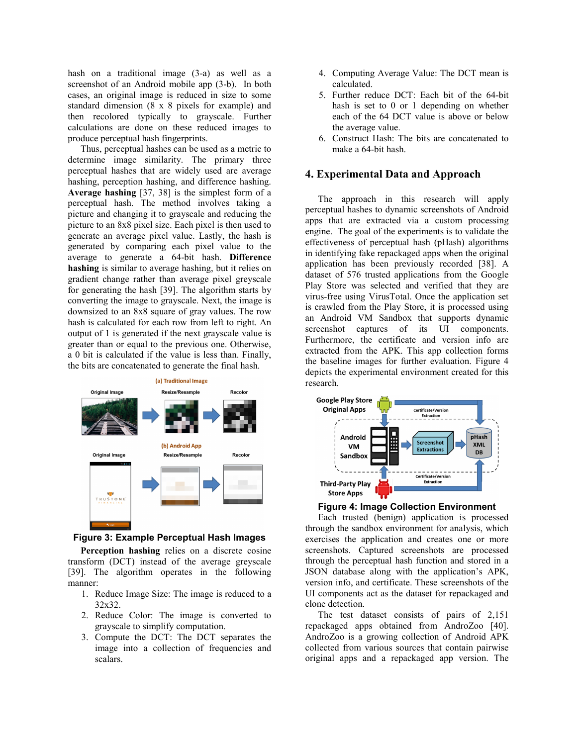hash on a traditional image (3-a) as well as a screenshot of an Android mobile app (3-b). In both cases, an original image is reduced in size to some standard dimension (8 x 8 pixels for example) and then recolored typically to grayscale. Further calculations are done on these reduced images to produce perceptual hash fingerprints.

Thus, perceptual hashes can be used as a metric to determine image similarity. The primary three perceptual hashes that are widely used are average hashing, perception hashing, and difference hashing. **Average hashing** [37, 38] is the simplest form of a perceptual hash. The method involves taking a picture and changing it to grayscale and reducing the picture to an 8x8 pixel size. Each pixel is then used to generate an average pixel value. Lastly, the hash is generated by comparing each pixel value to the average to generate a 64-bit hash. **Difference hashing** is similar to average hashing, but it relies on gradient change rather than average pixel greyscale for generating the hash [39]. The algorithm starts by converting the image to grayscale. Next, the image is downsized to an 8x8 square of gray values. The row hash is calculated for each row from left to right. An output of 1 is generated if the next grayscale value is greater than or equal to the previous one. Otherwise, a 0 bit is calculated if the value is less than. Finally, the bits are concatenated to generate the final hash.



**Figure 3: Example Perceptual Hash Images**

**Perception hashing** relies on a discrete cosine transform (DCT) instead of the average greyscale [39]. The algorithm operates in the following manner:

- 1. Reduce Image Size: The image is reduced to a 32x32.
- 2. Reduce Color: The image is converted to grayscale to simplify computation.
- 3. Compute the DCT: The DCT separates the image into a collection of frequencies and scalars.
- 4. Computing Average Value: The DCT mean is calculated.
- 5. Further reduce DCT: Each bit of the 64-bit hash is set to 0 or 1 depending on whether each of the 64 DCT value is above or below the average value.
- 6. Construct Hash: The bits are concatenated to make a 64-bit hash.

# **4. Experimental Data and Approach**

The approach in this research will apply perceptual hashes to dynamic screenshots of Android apps that are extracted via a custom processing engine. The goal of the experiments is to validate the effectiveness of perceptual hash (pHash) algorithms in identifying fake repackaged apps when the original application has been previously recorded [38]. A dataset of 576 trusted applications from the Google Play Store was selected and verified that they are virus-free using VirusTotal. Once the application set is crawled from the Play Store, it is processed using an Android VM Sandbox that supports dynamic screenshot captures of its UI components. Furthermore, the certificate and version info are extracted from the APK. This app collection forms the baseline images for further evaluation. Figure 4 depicts the experimental environment created for this research.



**Figure 4: Image Collection Environment**

Each trusted (benign) application is processed through the sandbox environment for analysis, which exercises the application and creates one or more screenshots. Captured screenshots are processed through the perceptual hash function and stored in a JSON database along with the application's APK, version info, and certificate. These screenshots of the UI components act as the dataset for repackaged and clone detection.

The test dataset consists of pairs of 2,151 repackaged apps obtained from AndroZoo [40]. AndroZoo is a growing collection of Android APK collected from various sources that contain pairwise original apps and a repackaged app version. The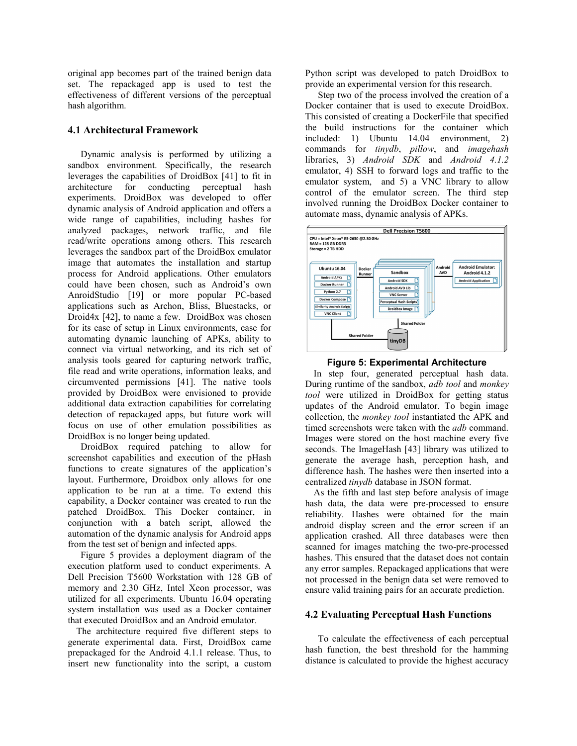original app becomes part of the trained benign data set. The repackaged app is used to test the effectiveness of different versions of the perceptual hash algorithm.

## **4.1 Architectural Framework**

Dynamic analysis is performed by utilizing a sandbox environment. Specifically, the research leverages the capabilities of DroidBox [41] to fit in architecture for conducting perceptual hash experiments. DroidBox was developed to offer dynamic analysis of Android application and offers a wide range of capabilities, including hashes for analyzed packages, network traffic, and file read/write operations among others. This research leverages the sandbox part of the DroidBox emulator image that automates the installation and startup process for Android applications. Other emulators could have been chosen, such as Android's own AnroidStudio [19] or more popular PC-based applications such as Archon, Bliss, Bluestacks, or Droid4x [42], to name a few. DroidBox was chosen for its ease of setup in Linux environments, ease for automating dynamic launching of APKs, ability to connect via virtual networking, and its rich set of analysis tools geared for capturing network traffic, file read and write operations, information leaks, and circumvented permissions [41]. The native tools provided by DroidBox were envisioned to provide additional data extraction capabilities for correlating detection of repackaged apps, but future work will focus on use of other emulation possibilities as DroidBox is no longer being updated.

DroidBox required patching to allow for screenshot capabilities and execution of the pHash functions to create signatures of the application's layout. Furthermore, Droidbox only allows for one application to be run at a time. To extend this capability, a Docker container was created to run the patched DroidBox. This Docker container, in conjunction with a batch script, allowed the automation of the dynamic analysis for Android apps from the test set of benign and infected apps.

Figure 5 provides a deployment diagram of the execution platform used to conduct experiments. A Dell Precision T5600 Workstation with 128 GB of memory and 2.30 GHz, Intel Xeon processor, was utilized for all experiments. Ubuntu 16.04 operating system installation was used as a Docker container that executed DroidBox and an Android emulator.

The architecture required five different steps to generate experimental data. First, DroidBox came prepackaged for the Android 4.1.1 release. Thus, to insert new functionality into the script, a custom

Python script was developed to patch DroidBox to provide an experimental version for this research.

Step two of the process involved the creation of a Docker container that is used to execute DroidBox. This consisted of creating a DockerFile that specified the build instructions for the container which included: 1) Ubuntu 14.04 environment, 2) commands for *tinydb*, *pillow*, and *imagehash* libraries, 3) *Android SDK* and *Android 4.1.2*  emulator, 4) SSH to forward logs and traffic to the emulator system, and 5) a VNC library to allow control of the emulator screen. The third step involved running the DroidBox Docker container to automate mass, dynamic analysis of APKs.



#### **Figure 5: Experimental Architecture**

In step four, generated perceptual hash data. During runtime of the sandbox, *adb tool* and *monkey tool* were utilized in DroidBox for getting status updates of the Android emulator. To begin image collection, the *monkey tool* instantiated the APK and timed screenshots were taken with the *adb* command. Images were stored on the host machine every five seconds. The ImageHash [43] library was utilized to generate the average hash, perception hash, and difference hash. The hashes were then inserted into a centralized *tinydb* database in JSON format.

As the fifth and last step before analysis of image hash data, the data were pre-processed to ensure reliability. Hashes were obtained for the main android display screen and the error screen if an application crashed. All three databases were then scanned for images matching the two-pre-processed hashes. This ensured that the dataset does not contain any error samples. Repackaged applications that were not processed in the benign data set were removed to ensure valid training pairs for an accurate prediction.

## **4.2 Evaluating Perceptual Hash Functions**

To calculate the effectiveness of each perceptual hash function, the best threshold for the hamming distance is calculated to provide the highest accuracy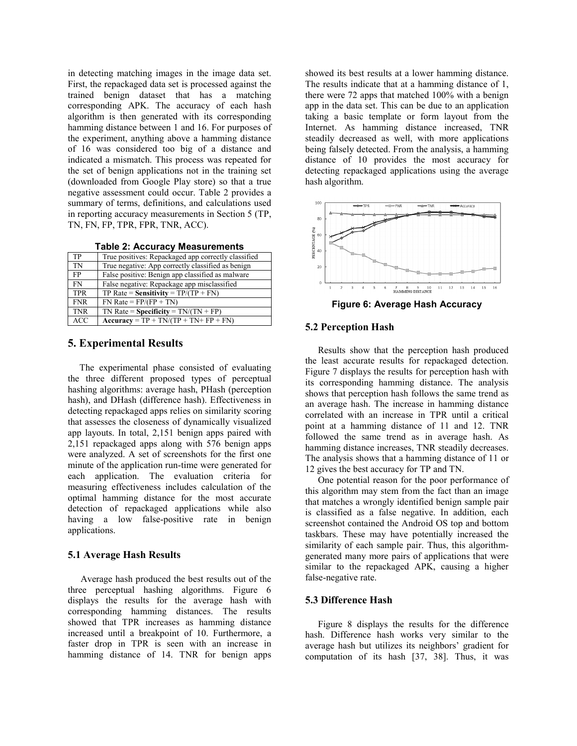in detecting matching images in the image data set. First, the repackaged data set is processed against the trained benign dataset that has a matching corresponding APK. The accuracy of each hash algorithm is then generated with its corresponding hamming distance between 1 and 16. For purposes of the experiment, anything above a hamming distance of 16 was considered too big of a distance and indicated a mismatch. This process was repeated for the set of benign applications not in the training set (downloaded from Google Play store) so that a true negative assessment could occur. Table 2 provides a summary of terms, definitions, and calculations used in reporting accuracy measurements in Section 5 (TP, TN, FN, FP, TPR, FPR, TNR, ACC).

**Table 2: Accuracy Measurements**

| <b>TADIC L. ACCUTACY INCASULCITIONS</b> |                                                     |  |
|-----------------------------------------|-----------------------------------------------------|--|
| <b>TP</b>                               | True positives: Repackaged app correctly classified |  |
| TN                                      | True negative: App correctly classified as benign   |  |
| <b>FP</b>                               | False positive: Benign app classified as malware    |  |
| FN                                      | False negative: Repackage app misclassified         |  |
| <b>TPR</b>                              | TP Rate = Sensitivity = $TP/(TP + FN)$              |  |
| <b>FNR</b>                              | $FN$ Rate = $FP/(FP + TN)$                          |  |
| <b>TNR</b>                              | TN Rate = Specificity = $TN/(TN + FP)$              |  |
| <b>ACC</b>                              | $Accuracy = TP + TN/(TP + TN + FP + FN)$            |  |

## **5. Experimental Results**

The experimental phase consisted of evaluating the three different proposed types of perceptual hashing algorithms: average hash, PHash (perception hash), and DHash (difference hash). Effectiveness in detecting repackaged apps relies on similarity scoring that assesses the closeness of dynamically visualized app layouts. In total, 2,151 benign apps paired with 2,151 repackaged apps along with 576 benign apps were analyzed. A set of screenshots for the first one minute of the application run-time were generated for each application. The evaluation criteria for measuring effectiveness includes calculation of the optimal hamming distance for the most accurate detection of repackaged applications while also having a low false-positive rate in benign applications.

## **5.1 Average Hash Results**

Average hash produced the best results out of the three perceptual hashing algorithms. Figure 6 displays the results for the average hash with corresponding hamming distances. The results showed that TPR increases as hamming distance increased until a breakpoint of 10. Furthermore, a faster drop in TPR is seen with an increase in hamming distance of 14. TNR for benign apps showed its best results at a lower hamming distance. The results indicate that at a hamming distance of 1, there were 72 apps that matched 100% with a benign app in the data set. This can be due to an application taking a basic template or form layout from the Internet. As hamming distance increased, TNR steadily decreased as well, with more applications being falsely detected. From the analysis, a hamming distance of 10 provides the most accuracy for detecting repackaged applications using the average hash algorithm.



**Figure 6: Average Hash Accuracy**

### **5.2 Perception Hash**

Results show that the perception hash produced the least accurate results for repackaged detection. Figure 7 displays the results for perception hash with its corresponding hamming distance. The analysis shows that perception hash follows the same trend as an average hash. The increase in hamming distance correlated with an increase in TPR until a critical point at a hamming distance of 11 and 12. TNR followed the same trend as in average hash. As hamming distance increases, TNR steadily decreases. The analysis shows that a hamming distance of 11 or 12 gives the best accuracy for TP and TN.

One potential reason for the poor performance of this algorithm may stem from the fact than an image that matches a wrongly identified benign sample pair is classified as a false negative. In addition, each screenshot contained the Android OS top and bottom taskbars. These may have potentially increased the similarity of each sample pair. Thus, this algorithmgenerated many more pairs of applications that were similar to the repackaged APK, causing a higher false-negative rate.

## **5.3 Difference Hash**

Figure 8 displays the results for the difference hash. Difference hash works very similar to the average hash but utilizes its neighbors' gradient for computation of its hash [37, 38]. Thus, it was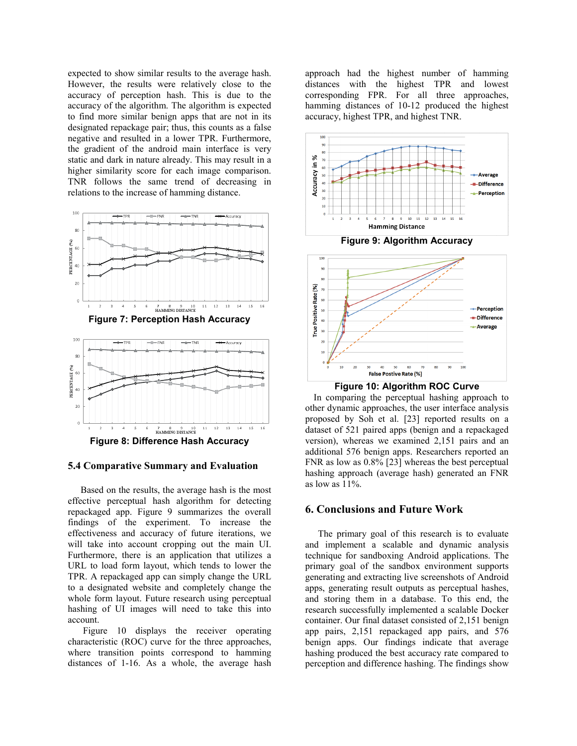expected to show similar results to the average hash. However, the results were relatively close to the accuracy of perception hash. This is due to the accuracy of the algorithm. The algorithm is expected to find more similar benign apps that are not in its designated repackage pair; thus, this counts as a false negative and resulted in a lower TPR. Furthermore, the gradient of the android main interface is very static and dark in nature already. This may result in a higher similarity score for each image comparison. TNR follows the same trend of decreasing in relations to the increase of hamming distance.





**Figure 8: Difference Hash Accuracy**

## **5.4 Comparative Summary and Evaluation**

Based on the results, the average hash is the most effective perceptual hash algorithm for detecting repackaged app. Figure 9 summarizes the overall findings of the experiment. To increase the effectiveness and accuracy of future iterations, we will take into account cropping out the main UI. Furthermore, there is an application that utilizes a URL to load form layout, which tends to lower the TPR. A repackaged app can simply change the URL to a designated website and completely change the whole form layout. Future research using perceptual hashing of UI images will need to take this into account.

Figure 10 displays the receiver operating characteristic (ROC) curve for the three approaches, where transition points correspond to hamming distances of 1-16. As a whole, the average hash

approach had the highest number of hamming distances with the highest TPR and lowest corresponding FPR. For all three approaches, hamming distances of 10-12 produced the highest accuracy, highest TPR, and highest TNR.





False Postive Rate (%)

In comparing the perceptual hashing approach to other dynamic approaches, the user interface analysis proposed by Soh et al. [23] reported results on a dataset of 521 paired apps (benign and a repackaged version), whereas we examined 2,151 pairs and an additional 576 benign apps. Researchers reported an FNR as low as 0.8% [23] whereas the best perceptual hashing approach (average hash) generated an FNR as low as 11%.

# **6. Conclusions and Future Work**

The primary goal of this research is to evaluate and implement a scalable and dynamic analysis technique for sandboxing Android applications. The primary goal of the sandbox environment supports generating and extracting live screenshots of Android apps, generating result outputs as perceptual hashes, and storing them in a database. To this end, the research successfully implemented a scalable Docker container. Our final dataset consisted of 2,151 benign app pairs, 2,151 repackaged app pairs, and 576 benign apps. Our findings indicate that average hashing produced the best accuracy rate compared to perception and difference hashing. The findings show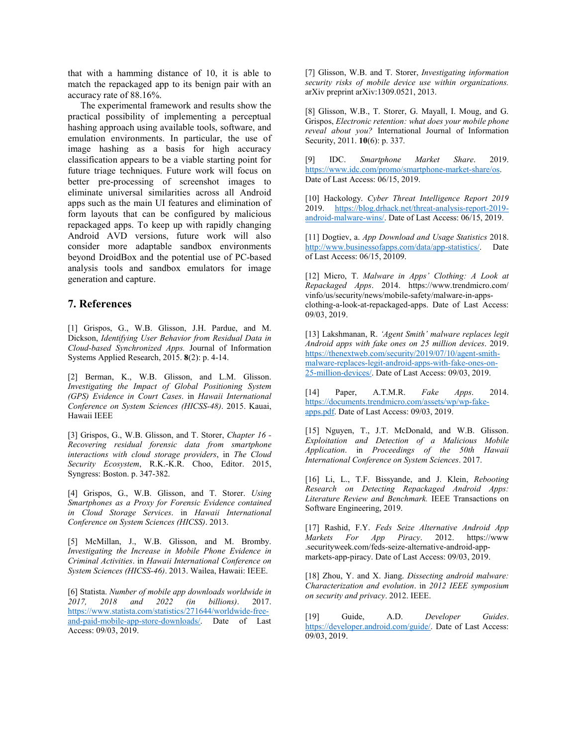that with a hamming distance of 10, it is able to match the repackaged app to its benign pair with an accuracy rate of 88.16%.

The experimental framework and results show the practical possibility of implementing a perceptual hashing approach using available tools, software, and emulation environments. In particular, the use of image hashing as a basis for high accuracy classification appears to be a viable starting point for future triage techniques. Future work will focus on better pre-processing of screenshot images to eliminate universal similarities across all Android apps such as the main UI features and elimination of form layouts that can be configured by malicious repackaged apps. To keep up with rapidly changing Android AVD versions, future work will also consider more adaptable sandbox environments beyond DroidBox and the potential use of PC-based analysis tools and sandbox emulators for image generation and capture.

# **7. References**

[1] Grispos, G., W.B. Glisson, J.H. Pardue, and M. Dickson, *Identifying User Behavior from Residual Data in Cloud-based Synchronized Apps.* Journal of Information Systems Applied Research, 2015. **8**(2): p. 4-14.

[2] Berman, K., W.B. Glisson, and L.M. Glisson. *Investigating the Impact of Global Positioning System (GPS) Evidence in Court Cases*. in *Hawaii International Conference on System Sciences (HICSS-48)*. 2015. Kauai, Hawaii IEEE

[3] Grispos, G., W.B. Glisson, and T. Storer, *Chapter 16 - Recovering residual forensic data from smartphone interactions with cloud storage providers*, in *The Cloud Security Ecosystem*, R.K.-K.R. Choo, Editor. 2015, Syngress: Boston. p. 347-382.

[4] Grispos, G., W.B. Glisson, and T. Storer. *Using Smartphones as a Proxy for Forensic Evidence contained in Cloud Storage Services*. in *Hawaii International Conference on System Sciences (HICSS)*. 2013.

[5] McMillan, J., W.B. Glisson, and M. Bromby. *Investigating the Increase in Mobile Phone Evidence in Criminal Activities*. in *Hawaii International Conference on System Sciences (HICSS-46)*. 2013. Wailea, Hawaii: IEEE.

[6] Statista. *Number of mobile app downloads worldwide in 2017, 2018 and 2022 (in billions)*. 2017. [https://www.statista.com/statistics/271644/worldwide-free](https://www.statista.com/statistics/271644/worldwide-free-and-paid-mobile-app-store-downloads/)[and-paid-mobile-app-store-downloads/.](https://www.statista.com/statistics/271644/worldwide-free-and-paid-mobile-app-store-downloads/) Date of Last Access: 09/03, 2019.

[7] Glisson, W.B. and T. Storer, *Investigating information security risks of mobile device use within organizations.* arXiv preprint arXiv:1309.0521, 2013.

[8] Glisson, W.B., T. Storer, G. Mayall, I. Moug, and G. Grispos, *Electronic retention: what does your mobile phone reveal about you?* International Journal of Information Security, 2011. **10**(6): p. 337.

[9] IDC. *Smartphone Market Share*. 2019. [https://www.idc.com/promo/smartphone-market-share/os.](https://www.idc.com/promo/smartphone-market-share/os)  Date of Last Access: 06/15, 2019.

[10] Hackology. *Cyber Threat Intelligence Report 2019*  2019. [https://blog.drhack.net/threat-analysis-report-2019](https://blog.drhack.net/threat-analysis-report-2019-android-malware-wins/) [android-malware-wins/.](https://blog.drhack.net/threat-analysis-report-2019-android-malware-wins/) Date of Last Access: 06/15, 2019.

[11] Dogtiev, a. *App Download and Usage Statistics* 2018. [http://www.businessofapps.com/data/app-statistics/.](http://www.businessofapps.com/data/app-statistics/) Date of Last Access: 06/15, 20109.

[12] Micro, T. *Malware in Apps' Clothing: A Look at Repackaged Apps*. 2014. https://www.trendmicro.com/ vinfo/us/security/news/mobile-safety/malware-in-appsclothing-a-look-at-repackaged-apps. Date of Last Access: 09/03, 2019.

[13] Lakshmanan, R. *'Agent Smith' malware replaces legit Android apps with fake ones on 25 million devices*. 2019. [https://thenextweb.com/security/2019/07/10/agent-smith](https://thenextweb.com/security/2019/07/10/agent-smith-malware-replaces-legit-android-apps-with-fake-ones-on-25-million-devices/)[malware-replaces-legit-android-apps-with-fake-ones-on-](https://thenextweb.com/security/2019/07/10/agent-smith-malware-replaces-legit-android-apps-with-fake-ones-on-25-million-devices/)[25-million-devices/.](https://thenextweb.com/security/2019/07/10/agent-smith-malware-replaces-legit-android-apps-with-fake-ones-on-25-million-devices/) Date of Last Access: 09/03, 2019.

[14] Paper, A.T.M.R. *Fake Apps*. 2014. [https://documents.trendmicro.com/assets/wp/wp-fake](https://documents.trendmicro.com/assets/wp/wp-fake-apps.pdf)[apps.pdf.](https://documents.trendmicro.com/assets/wp/wp-fake-apps.pdf) Date of Last Access: 09/03, 2019.

[15] Nguyen, T., J.T. McDonald, and W.B. Glisson. *Exploitation and Detection of a Malicious Mobile Application*. in *Proceedings of the 50th Hawaii International Conference on System Sciences*. 2017.

[16] Li, L., T.F. Bissyande, and J. Klein, *Rebooting Research on Detecting Repackaged Android Apps: Literature Review and Benchmark.* IEEE Transactions on Software Engineering, 2019.

[17] Rashid, F.Y. *Feds Seize Alternative Android App Markets For App Piracy*. 2012. https://www .securityweek.com/feds-seize-alternative-android-appmarkets-app-piracy. Date of Last Access: 09/03, 2019.

[18] Zhou, Y. and X. Jiang. *Dissecting android malware: Characterization and evolution*. in *2012 IEEE symposium on security and privacy*. 2012. IEEE.

[19] Guide, A.D. *Developer Guides*. [https://developer.android.com/guide/.](https://developer.android.com/guide/) Date of Last Access: 09/03, 2019.